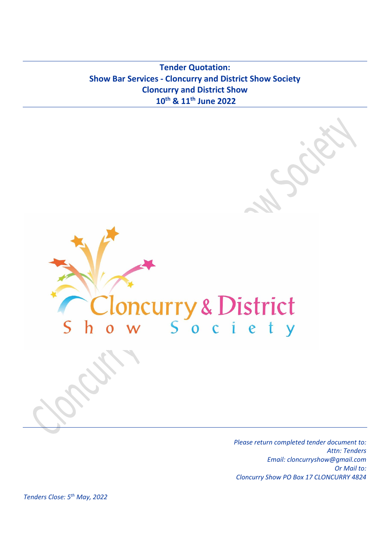**Tender Quotation: Show Bar Services - Cloncurry and District Show Society Cloncurry and District Show 10th & 11th June 2022**



*Please return completed tender document to: Attn: Tenders Email: cloncurryshow@gmail.com Or Mail to: Cloncurry Show PO Box 17 CLONCURRY 4824*

*Tenders Close: 5th May, 2022*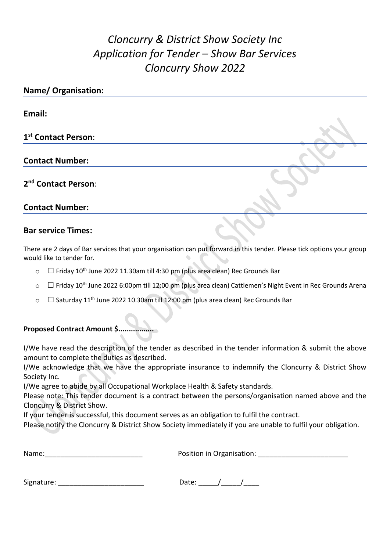# *Cloncurry & District Show Society Inc Application for Tender – Show Bar Services Cloncurry Show 2022*

| <b>Name/ Organisation:</b>      |  |  |
|---------------------------------|--|--|
| Email:                          |  |  |
| 1 <sup>st</sup> Contact Person: |  |  |
| <b>Contact Number:</b>          |  |  |
| 2 <sup>nd</sup> Contact Person: |  |  |
| <b>Contact Number:</b>          |  |  |
|                                 |  |  |

### **Bar service Times:**

There are 2 days of Bar services that your organisation can put forward in this tender. Please tick options your group would like to tender for.

- $\circ$   $\Box$  Friday 10<sup>th</sup> June 2022 11.30am till 4:30 pm (plus area clean) Rec Grounds Bar
- <sup>o</sup> □Friday 10th June 2022 6:00pm till 12:00 pm (plus area clean) Cattlemen's Night Event in Rec Grounds Arena
- $\circ$   $\Box$  Saturday 11<sup>th</sup> June 2022 10.30am till 12:00 pm (plus area clean) Rec Grounds Bar

## **Proposed Contract Amount \$.................**

I/We have read the description of the tender as described in the tender information & submit the above amount to complete the duties as described.

I/We acknowledge that we have the appropriate insurance to indemnify the Cloncurry & District Show Society Inc.

I/We agree to abide by all Occupational Workplace Health & Safety standards.

Please note: This tender document is a contract between the persons/organisation named above and the Cloncurry & District Show.

If your tender is successful, this document serves as an obligation to fulfil the contract.

Please notify the Cloncurry & District Show Society immediately if you are unable to fulfil your obligation.

| Name: | Position in Organisation: |
|-------|---------------------------|
|       |                           |

| Signature: |  |
|------------|--|
|------------|--|

Date:  $\frac{1}{\sqrt{2\pi}}$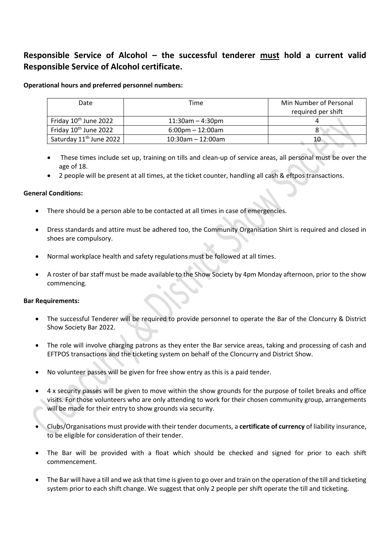# **Responsible Service of Alcohol – the successful tenderer must hold a current valid Responsible Service of Alcohol certificate.**

### **Operational hours and preferred personnel numbers:**

| Date                                | Time                               | Min Number of Personal |
|-------------------------------------|------------------------------------|------------------------|
|                                     |                                    | required per shift     |
| Friday 10 <sup>th</sup> June 2022   | $11:30$ am - 4:30pm                |                        |
| Friday 10 <sup>th</sup> June 2022   | $6:00 \text{pm} - 12:00 \text{am}$ |                        |
| Saturday 11 <sup>th</sup> June 2022 | $10:30$ am - 12:00am               | 10                     |

- These times include set up, training on tills and clean-up of service areas, all personal must be over the age of 18.
- 2 people will be present at all times, at the ticket counter, handling all cash & eftpos transactions.

### **General Conditions:**

- There should be a person able to be contacted at all times in case of emergencies.
- Dress standards and attire must be adhered too, the Community Organisation Shirt is required and closed in shoes are compulsory.
- Normal workplace health and safety regulations must be followed at all times.
- A roster of bar staff must be made available to the Show Society by 4pm Monday afternoon, prior to the show commencing.

### **Bar Requirements:**

- The successful Tenderer will be required to provide personnel to operate the Bar of the Cloncurry & District Show Society Bar 2022.
- The role will involve charging patrons as they enter the Bar service areas, taking and processing of cash and EFTPOS transactions and the ticketing system on behalf of the Cloncurry and District Show.
- No volunteer passes will be given for free show entry as this is a paid tender.
- 4 x security passes will be given to move within the show grounds for the purpose of toilet breaks and office visits. For those volunteers who are only attending to work for their chosen community group, arrangements will be made for their entry to show grounds via security.
- Clubs/Organisations must provide with their tender documents, a **certificate of currency** of liability insurance, to be eligible for consideration of their tender.
- The Bar will be provided with a float which should be checked and signed for prior to each shift commencement.
- The Bar will have a till and we ask that time is given to go over and train on the operation of the till and ticketing system prior to each shift change. We suggest that only 2 people per shift operate the till and ticketing.